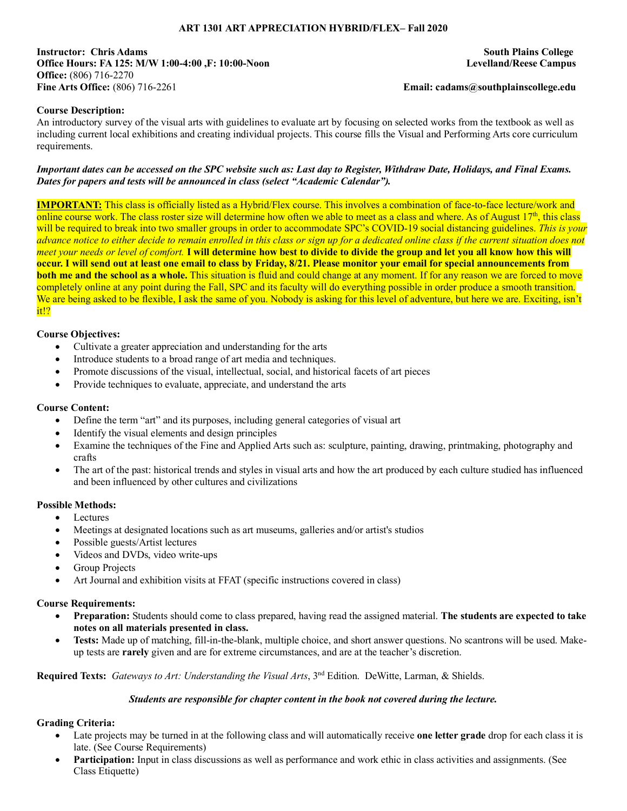## **ART 1301 ART APPRECIATION HYBRID/FLEX– Fall 2020**

**Instructor: Chris Adams South Plains College Office Hours: FA 125: M/W 1:00-4:00 ,F: 10:00-Noon Levelland/Reese Campus Office:** (806) 716-2270 **Fine Arts Office:** (806) 716-2261 **Email: cadams@southplainscollege.edu**

## **Course Description:**

An introductory survey of the visual arts with guidelines to evaluate art by focusing on selected works from the textbook as well as including current local exhibitions and creating individual projects. This course fills the Visual and Performing Arts core curriculum requirements.

#### *Important dates can be accessed on the SPC website such as: Last day to Register, Withdraw Date, Holidays, and Final Exams. Dates for papers and tests will be announced in class (select "Academic Calendar").*

**IMPORTANT:** This class is officially listed as a Hybrid/Flex course. This involves a combination of face-to-face lecture/work and online course work. The class roster size will determine how often we able to meet as a class and where. As of August  $17<sup>th</sup>$ , this class will be required to break into two smaller groups in order to accommodate SPC's COVID-19 social distancing guidelines. *This is your advance notice to either decide to remain enrolled in this class or sign up for a dedicated online class if the current situation does not meet your needs or level of comfort.* **I will determine how best to divide to divide the group and let you all know how this will occur. I will send out at least one email to class by Friday, 8/21. Please monitor your email for special announcements from both me and the school as a whole.** This situation is fluid and could change at any moment. If for any reason we are forced to move completely online at any point during the Fall, SPC and its faculty will do everything possible in order produce a smooth transition. We are being asked to be flexible, I ask the same of you. Nobody is asking for this level of adventure, but here we are. Exciting, isn't it!?

## **Course Objectives:**

- Cultivate a greater appreciation and understanding for the arts
- Introduce students to a broad range of art media and techniques.
- Promote discussions of the visual, intellectual, social, and historical facets of art pieces
- Provide techniques to evaluate, appreciate, and understand the arts

### **Course Content:**

- Define the term "art" and its purposes, including general categories of visual art
- Identify the visual elements and design principles
- Examine the techniques of the Fine and Applied Arts such as: sculpture, painting, drawing, printmaking, photography and crafts
- The art of the past: historical trends and styles in visual arts and how the art produced by each culture studied has influenced and been influenced by other cultures and civilizations

### **Possible Methods:**

- Lectures
- Meetings at designated locations such as art museums, galleries and/or artist's studios
- Possible guests/Artist lectures
- Videos and DVDs, video write-ups
- Group Projects
- Art Journal and exhibition visits at FFAT (specific instructions covered in class)

### **Course Requirements:**

- **Preparation:** Students should come to class prepared, having read the assigned material. **The students are expected to take notes on all materials presented in class.**
- **Tests:** Made up of matching, fill-in-the-blank, multiple choice, and short answer questions. No scantrons will be used. Makeup tests are **rarely** given and are for extreme circumstances, and are at the teacher's discretion.

**Required Texts:** *Gateways to Art: Understanding the Visual Arts*, 3nd Edition. DeWitte, Larman, & Shields.

### *Students are responsible for chapter content in the book not covered during the lecture.*

# **Grading Criteria:**

- Late projects may be turned in at the following class and will automatically receive **one letter grade** drop for each class it is late. (See Course Requirements)
- **Participation:** Input in class discussions as well as performance and work ethic in class activities and assignments. (See Class Etiquette)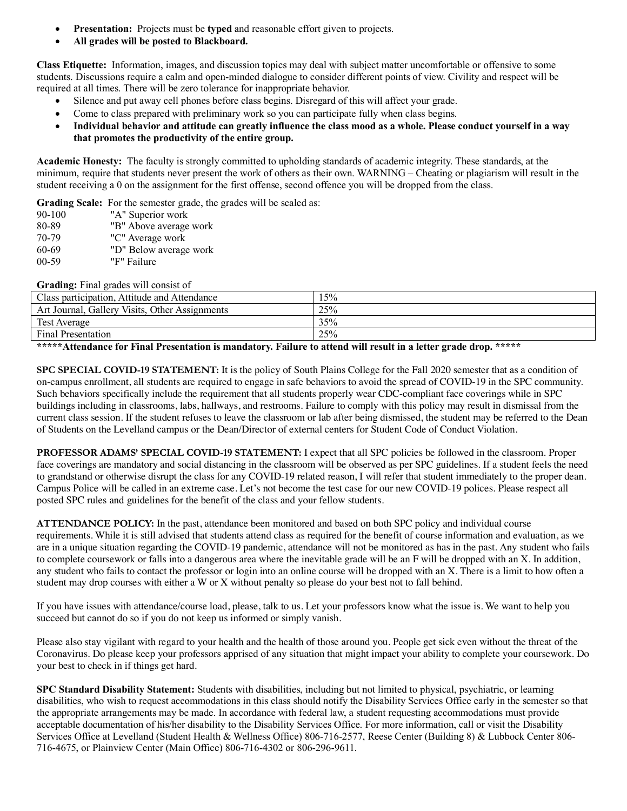- **Presentation:** Projects must be **typed** and reasonable effort given to projects.
- **All grades will be posted to Blackboard.**

**Class Etiquette:** Information, images, and discussion topics may deal with subject matter uncomfortable or offensive to some students. Discussions require a calm and open-minded dialogue to consider different points of view. Civility and respect will be required at all times. There will be zero tolerance for inappropriate behavior.

- Silence and put away cell phones before class begins. Disregard of this will affect your grade.
- Come to class prepared with preliminary work so you can participate fully when class begins.
- **Individual behavior and attitude can greatly influence the class mood as a whole. Please conduct yourself in a way that promotes the productivity of the entire group.**

**Academic Honesty:** The faculty is strongly committed to upholding standards of academic integrity. These standards, at the minimum, require that students never present the work of others as their own. WARNING – Cheating or plagiarism will result in the student receiving a 0 on the assignment for the first offense, second offence you will be dropped from the class.

**Grading Scale:** For the semester grade, the grades will be scaled as:

- 90-100 "A" Superior work 80-89 "B" Above average work
- 70-79 "C" Average work
- 60-69 "D" Below average work
- 00-59 "F" Failure

**Grading:** Final grades will consist of

| Class participation, Attitude and Attendance   | 15% |
|------------------------------------------------|-----|
| Art Journal, Gallery Visits, Other Assignments | 25% |
| Test Average                                   | 35% |
| <b>Final Presentation</b>                      | 25% |

**\*\*\*\*\*Attendance for Final Presentation is mandatory. Failure to attend will result in a letter grade drop. \*\*\*\*\***

**SPC SPECIAL COVID-19 STATEMENT:** It is the policy of South Plains College for the Fall 2020 semester that as a condition of on-campus enrollment, all students are required to engage in safe behaviors to avoid the spread of COVID-19 in the SPC community. Such behaviors specifically include the requirement that all students properly wear CDC-compliant face coverings while in SPC buildings including in classrooms, labs, hallways, and restrooms. Failure to comply with this policy may result in dismissal from the current class session. If the student refuses to leave the classroom or lab after being dismissed, the student may be referred to the Dean of Students on the Levelland campus or the Dean/Director of external centers for Student Code of Conduct Violation.

**PROFESSOR ADAMS' SPECIAL COVID-19 STATEMENT:** I expect that all SPC policies be followed in the classroom. Proper face coverings are mandatory and social distancing in the classroom will be observed as per SPC guidelines. If a student feels the need to grandstand or otherwise disrupt the class for any COVID-19 related reason, I will refer that student immediately to the proper dean. Campus Police will be called in an extreme case. Let's not become the test case for our new COVID-19 polices. Please respect all posted SPC rules and guidelines for the benefit of the class and your fellow students.

**ATTENDANCE POLICY:** In the past, attendance been monitored and based on both SPC policy and individual course requirements. While it is still advised that students attend class as required for the benefit of course information and evaluation, as we are in a unique situation regarding the COVID-19 pandemic, attendance will not be monitored as has in the past. Any student who fails to complete coursework or falls into a dangerous area where the inevitable grade will be an F will be dropped with an X. In addition, any student who fails to contact the professor or login into an online course will be dropped with an X. There is a limit to how often a student may drop courses with either a W or X without penalty so please do your best not to fall behind.

If you have issues with attendance/course load, please, talk to us. Let your professors know what the issue is. We want to help you succeed but cannot do so if you do not keep us informed or simply vanish.

Please also stay vigilant with regard to your health and the health of those around you. People get sick even without the threat of the Coronavirus. Do please keep your professors apprised of any situation that might impact your ability to complete your coursework. Do your best to check in if things get hard.

**SPC Standard Disability Statement:** Students with disabilities, including but not limited to physical, psychiatric, or learning disabilities, who wish to request accommodations in this class should notify the Disability Services Office early in the semester so that the appropriate arrangements may be made. In accordance with federal law, a student requesting accommodations must provide acceptable documentation of his/her disability to the Disability Services Office. For more information, call or visit the Disability Services Office at Levelland (Student Health & Wellness Office) 806-716-2577, Reese Center (Building 8) & Lubbock Center 806- 716-4675, or Plainview Center (Main Office) 806-716-4302 or 806-296-9611.